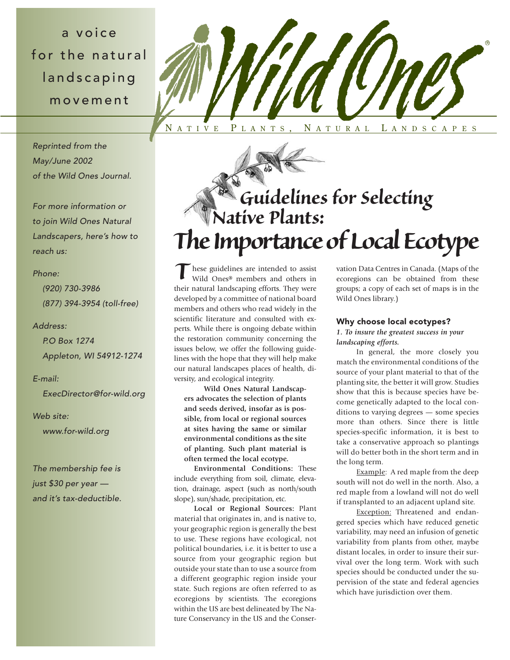a voice for the natural landscaping movement

*Reprinted from the May/June 2002 of the Wild Ones Journal.*

*For more information or to join Wild Ones Natural Landscapers, here's how to reach us:*

## *Phone:*

*(920) 730-3986 (877) 394-3954 (toll-free)*

## *Address:*

*P.O Box 1274 Appleton, WI 54912-1274*

### *E-mail:*

*ExecDirector@for-wild.org*

#### *Web site:*

*www.for-wild.org*

*The membership fee is just \$30 per year and it's tax-deductible.*



# *Guidelines for Selecting Native Plants: The Importance of Local Ecotype*

hese guidelines are intended to assist Wild Ones® members and others in their natural landscaping efforts. They were developed by a committee of national board members and others who read widely in the scientific literature and consulted with experts. While there is ongoing debate within the restoration community concerning the issues below, we offer the following guidelines with the hope that they will help make our natural landscapes places of health, diversity, and ecological integrity. *T*

**Wild Ones Natural Landscapers advocates the selection of plants and seeds derived, insofar as is possible, from local or regional sources at sites having the same or similar environmental conditions as the site of planting. Such plant material is often termed the local ecotype.**

**Environmental Conditions:** These include everything from soil, climate, elevation, drainage, aspect (such as north/south slope), sun/shade, precipitation, etc.

**Local or Regional Sources:** Plant material that originates in, and is native to, your geographic region is generally the best to use. These regions have ecological, not political boundaries, i.e. it is better to use a source from your geographic region but outside your state than to use a source from a different geographic region inside your state. Such regions are often referred to as ecoregions by scientists. The ecoregions within the US are best delineated by The Nature Conservancy in the US and the Conservation Data Centres in Canada. (Maps of the ecoregions can be obtained from these groups; a copy of each set of maps is in the Wild Ones library.)

## Why choose local ecotypes?

*1. To insure the greatest success in your landscaping efforts.*

In general, the more closely you match the environmental conditions of the source of your plant material to that of the planting site, the better it will grow. Studies show that this is because species have become genetically adapted to the local conditions to varying degrees — some species more than others. Since there is little species-specific information, it is best to take a conservative approach so plantings will do better both in the short term and in the long term.

Example: A red maple from the deep south will not do well in the north. Also, a red maple from a lowland will not do well if transplanted to an adjacent upland site.

Exception: Threatened and endangered species which have reduced genetic variability, may need an infusion of genetic variability from plants from other, maybe distant locales, in order to insure their survival over the long term. Work with such species should be conducted under the supervision of the state and federal agencies which have jurisdiction over them.